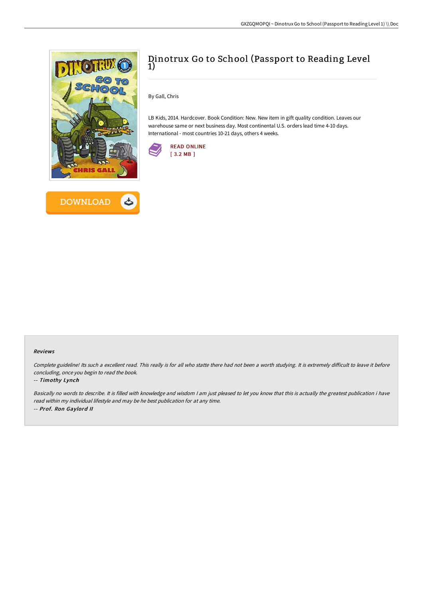



# Dinotrux Go to School (Passport to Reading Level  $\overline{1}$ )

By Gall, Chris

LB Kids, 2014. Hardcover. Book Condition: New. New item in gift quality condition. Leaves our warehouse same or next business day. Most continental U.S. orders lead time 4-10 days. International - most countries 10-21 days, others 4 weeks.



#### Reviews

Complete guideline! Its such a excellent read. This really is for all who statte there had not been a worth studying. It is extremely difficult to leave it before concluding, once you begin to read the book.

### -- Timothy Lynch

Basically no words to describe. It is filled with knowledge and wisdom <sup>I</sup> am just pleased to let you know that this is actually the greatest publication i have read within my individual lifestyle and may be he best publication for at any time. -- Prof. Ron Gaylord II